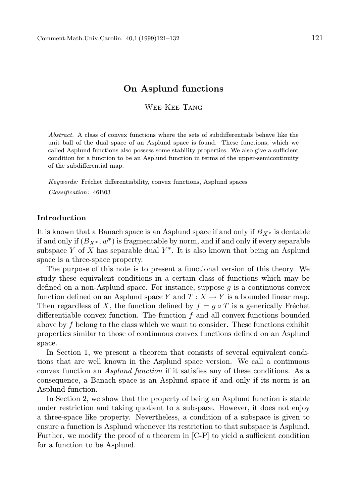# On Asplund functions

Wee-Kee Tang

Abstract. A class of convex functions where the sets of subdifferentials behave like the unit ball of the dual space of an Asplund space is found. These functions, which we called Asplund functions also possess some stability properties. We also give a sufficient condition for a function to be an Asplund function in terms of the upper-semicontinuity of the subdifferential map.

Keywords: Fréchet differentiability, convex functions, Asplund spaces Classification: 46B03

### Introduction

It is known that a Banach space is an Asplund space if and only if  $B_{X^*}$  is dentable if and only if  $(B_{X^*}, w^*)$  is fragmentable by norm, and if and only if every separable subspace Y of X has separable dual  $Y^*$ . It is also known that being an Asplund space is a three-space property.

The purpose of this note is to present a functional version of this theory. We study these equivalent conditions in a certain class of functions which may be defined on a non-Asplund space. For instance, suppose q is a continuous convex function defined on an Asplund space Y and  $T : X \to Y$  is a bounded linear map. Then regardless of X, the function defined by  $f = q \circ T$  is a generically Fréchet differentiable convex function. The function  $f$  and all convex functions bounded above by  $f$  belong to the class which we want to consider. These functions exhibit properties similar to those of continuous convex functions defined on an Asplund space.

In Section 1, we present a theorem that consists of several equivalent conditions that are well known in the Asplund space version. We call a continuous convex function an Asplund function if it satisfies any of these conditions. As a consequence, a Banach space is an Asplund space if and only if its norm is an Asplund function.

In Section 2, we show that the property of being an Asplund function is stable under restriction and taking quotient to a subspace. However, it does not enjoy a three-space like property. Nevertheless, a condition of a subspace is given to ensure a function is Asplund whenever its restriction to that subspace is Asplund. Further, we modify the proof of a theorem in [C-P] to yield a sufficient condition for a function to be Asplund.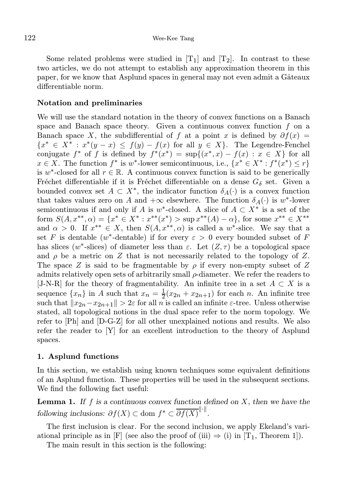Some related problems were studied in  $[T_1]$  and  $[T_2]$ . In contrast to these two articles, we do not attempt to establish any approximation theorem in this paper, for we know that Asplund spaces in general may not even admit a Gâteaux differentiable norm.

## Notation and preliminaries

We will use the standard notation in the theory of convex functions on a Banach space and Banach space theory. Given a continuous convex function  $f$  on a Banach space X, the subdifferential of f at a point x is defined by  $\partial f(x) =$  ${x^* \in X^* : x^*(y-x) \leq f(y) - f(x)$  for all  $y \in X}$ . The Legendre-Fenchel conjugate  $f^*$  of f is defined by  $f^*(x^*) = \sup\{(x^*,x) - f(x) : x \in X\}$  for all  $x \in X$ . The function  $f^*$  is w<sup>\*</sup>-lower semicontinuous, i.e.,  $\{x^* \in X^* : f^*(x^*) \leq r\}$ is w<sup>\*</sup>-closed for all  $r \in \mathbb{R}$ . A continuous convex function is said to be generically Fréchet differentiable if it is Fréchet differentiable on a dense  $G_{\delta}$  set. Given a bounded convex set  $A \subset X^*$ , the indicator function  $\delta_A(\cdot)$  is a convex function that takes values zero on A and  $+\infty$  elsewhere. The function  $\delta_A(\cdot)$  is  $w^*$ -lower semicontinuous if and only if A is w<sup>\*</sup>-closed. A slice of  $A \subset X^*$  is a set of the form  $S(A, x^{**}, \alpha) = \{x^* \in X^* : x^{**}(x^*) > \sup x^{**}(A) - \alpha\}$ , for some  $x^{**} \in X^{**}$ and  $\alpha > 0$ . If  $x^{**} \in X$ , then  $S(A, x^{**}, \alpha)$  is called a w<sup>\*</sup>-slice. We say that a set F is dentable (w\*-dentable) if for every  $\varepsilon > 0$  every bounded subset of F has slices (w<sup>\*</sup>-slices) of diameter less than  $\varepsilon$ . Let  $(Z, \tau)$  be a topological space and  $\rho$  be a metric on Z that is not necessarily related to the topology of Z. The space Z is said to be fragmentable by  $\rho$  if every non-empty subset of Z admits relatively open sets of arbitrarily small ρ-diameter. We refer the readers to [J-N-R] for the theory of fragmentability. An infinite tree in a set  $A \subset X$  is a sequence  $\{x_n\}$  in A such that  $x_n = \frac{1}{2}(x_{2n} + x_{2n+1})$  for each n. An infinite tree such that  $||x_{2n}-x_{2n+1}|| > 2\varepsilon$  for all n is called an infinite  $\varepsilon$ -tree. Unless otherwise stated, all topological notions in the dual space refer to the norm topology. We refer to [Ph] and [D-G-Z] for all other unexplained notions and results. We also refer the reader to  $[Y]$  for an excellent introduction to the theory of Asplund spaces.

# 1. Asplund functions

In this section, we establish using known techniques some equivalent definitions of an Asplund function. These properties will be used in the subsequent sections. We find the following fact useful:

**Lemma 1.** If f is a continuous convex function defined on  $X$ , then we have the following inclusions:  $\partial f(X) \subset \text{dom } f^* \subset \overline{\partial f(X)}^{\|\cdot\|}.$ 

The first inclusion is clear. For the second inclusion, we apply Ekeland's variational principle as in [F] (see also the proof of (iii)  $\Rightarrow$  (i) in [T<sub>1</sub>, Theorem 1]).

The main result in this section is the following: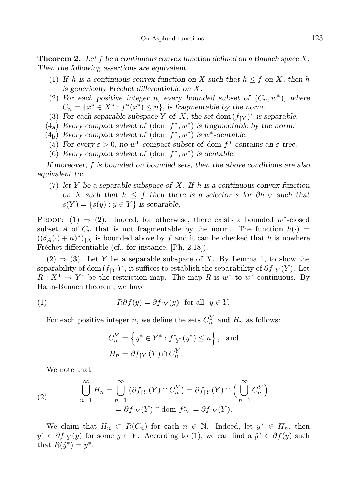**Theorem 2.** Let f be a continuous convex function defined on a Banach space X. Then the following assertions are equivalent.

- (1) If h is a continuous convex function on X such that  $h \leq f$  on X, then h is generically Fréchet differentiable on  $X$ .
- (2) For each positive integer n, every bounded subset of  $(C_n, w^*)$ , where  $C_n = \{x^* \in X^* : f^*(x^*) \leq n\}$ , is fragmentable by the norm.
- (3) For each separable subspace Y of X, the set dom  $(f_{|Y})^*$  is separable.
- $(4<sub>a</sub>)$  Every compact subset of  $(\text{dom } f^*, w^*)$  is fragmentable by the norm.
- $(4<sub>b</sub>)$  Every compact subset of  $(\text{dom } f^*, w^*)$  is  $w^*$ -dentable.
- (5) For every  $\varepsilon > 0$ , no w<sup>\*</sup>-compact subset of dom  $f^*$  contains an  $\varepsilon$ -tree.
- (6) Every compact subset of  $(\text{dom } f^*, w^*)$  is dentable.

If moreover, f is bounded on bounded sets, then the above conditions are also equivalent to:

(7) let Y be a separable subspace of X. If h is a continuous convex function on X such that  $h \leq f$  then there is a selector s for  $\partial h_{\restriction Y}$  such that  $s(Y) = \{s(y) : y \in Y\}$  is separable.

PROOF:  $(1) \Rightarrow (2)$ . Indeed, for otherwise, there exists a bounded w<sup>\*</sup>-closed subset A of  $C_n$  that is not fragmentable by the norm. The function  $h(\cdot)$  =  $((\delta_A(\cdot) + n)^*)_{\vert X}$  is bounded above by f and it can be checked that h is nowhere Fréchet differentiable (cf., for instance,  $[Ph, 2.18]$ ).

 $(2) \Rightarrow (3)$ . Let Y be a separable subspace of X. By Lemma 1, to show the separability of dom  $(f_{\vert Y})^*$ , it suffices to establish the separability of  $\partial f_{\vert Y}(Y)$ . Let  $R: X^* \to Y^*$  be the restriction map. The map R is  $w^*$  to  $w^*$  continuous. By Hahn-Banach theorem, we have

(1) 
$$
R\partial f(y) = \partial f_{\upharpoonright Y}(y) \text{ for all } y \in Y.
$$

For each positive integer n, we define the sets  $C_n^Y$  and  $H_n$  as follows:

$$
C_n^Y = \left\{ y^* \in Y^* : f_{|Y}^* (y^*) \le n \right\}, \text{ and}
$$
  

$$
H_n = \partial f_{|Y} (Y) \cap C_n^Y.
$$

We note that

(2) 
$$
\bigcup_{n=1}^{\infty} H_n = \bigcup_{n=1}^{\infty} \left( \partial f_{\vert Y}(Y) \cap C_n^Y \right) = \partial f_{\vert Y}(Y) \cap \left( \bigcup_{n=1}^{\infty} C_n^Y \right) = \partial f_{\vert Y}(Y) \cap \text{dom } f_{\vert Y}^* = \partial f_{\vert Y}(Y).
$$

We claim that  $H_n \subset R(C_n)$  for each  $n \in \mathbb{N}$ . Indeed, let  $y^* \in H_n$ , then  $y^* \in \partial f_{|Y}(y)$  for some  $y \in Y$ . According to (1), we can find a  $\hat{y}^* \in \partial f(y)$  such that  $R(\hat{y}^*) = y^*$ .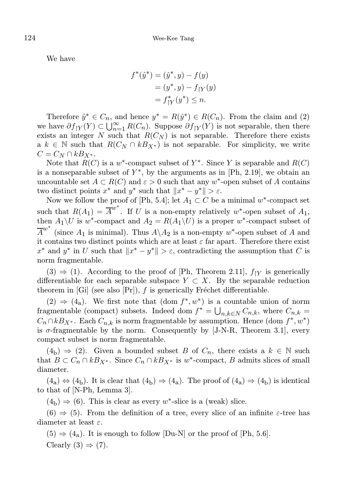We have

$$
f^*(\hat{y}^*) = (\hat{y}^*, y) - f(y)
$$
  
=  $(y^*, y) - f_{\upharpoonright Y}(y)$   
=  $f_{\upharpoonright Y}^*(y^*) \le n$ .

Therefore  $\hat{y}^* \in C_n$ , and hence  $y^* = R(\hat{y}^*) \in R(C_n)$ . From the claim and (2) we have  $\partial f_{\vert Y}(Y) \subset \bigcup_{n=1}^{\infty} R(C_n)$ . Suppose  $\partial f_{\vert Y}(Y)$  is not separable, then there exists an integer N such that  $R(C_N)$  is not separable. Therefore there exists a  $k \in \mathbb{N}$  such that  $R(C_N \cap kB_{X^*})$  is not separable. For simplicity, we write  $C = C_N \cap kB_{X^*}.$ 

Note that  $R(C)$  is a w<sup>\*</sup>-compact subset of  $Y^*$ . Since Y is separable and  $R(C)$ is a nonseparable subset of  $Y^*$ , by the arguments as in [Ph, 2.19], we obtain an uncountable set  $A \subset R(C)$  and  $\varepsilon > 0$  such that any w<sup>\*</sup>-open subset of A contains two distinct points  $x^*$  and  $y^*$  such that  $||x^* - y^*|| > \varepsilon$ .

Now we follow the proof of [Ph, 5.4]; let  $A_1 \subset C$  be a minimal w<sup>\*</sup>-compact set such that  $R(A_1) = \overline{A}^{w^*}$ . If U is a non-empty relatively  $w^*$ -open subset of  $A_1$ , then  $A_1 \backslash U$  is  $w^*$ -compact and  $A_2 = R(A_1 \backslash U)$  is a proper  $w^*$ -compact subset of  $\overline{A}^{w^*}$  (since  $A_1$  is minimal). Thus  $A \setminus A_2$  is a non-empty  $w^*$ -open subset of A and it contains two distinct points which are at least  $\varepsilon$  far apart. Therefore there exist  $x^*$  and  $y^*$  in U such that  $||x^* - y^*|| > \varepsilon$ , contradicting the assumption that C is norm fragmentable.

 $(3) \Rightarrow (1)$ . According to the proof of [Ph, Theorem 2.11],  $f_{\upharpoonright Y}$  is generically differentiable for each separable subspace  $Y \subset X$ . By the separable reduction theorem in [Gi] (see also  $[Pr]$ ), f is generically Fréchet differentiable.

 $(2) \Rightarrow (4<sub>a</sub>)$ . We first note that  $(\text{dom } f^*, w^*)$  is a countable union of norm fragmentable (compact) subsets. Indeed dom  $f^* = \bigcup_{n,k \in N} C_{n,k}$ , where  $C_{n,k}$  $C_n \cap kB_{X^*}$ . Each  $C_{n,k}$  is norm fragmentable by assumption. Hence  $(\text{dom } f^*, w^*)$ is  $\sigma$ -fragmentable by the norm. Consequently by [J-N-R, Theorem 3.1], every compact subset is norm fragmentable.

 $(4<sub>b</sub>) \Rightarrow (2)$ . Given a bounded subset B of  $C_n$ , there exists a  $k \in \mathbb{N}$  such that  $B \subset C_n \cap kB_{X^*}$ . Since  $C_n \cap kB_{X^*}$  is w<sup>\*</sup>-compact, B admits slices of small diameter.

 $(4<sub>a</sub>) \Leftrightarrow (4<sub>b</sub>)$ . It is clear that  $(4<sub>b</sub>) \Rightarrow (4<sub>a</sub>)$ . The proof of  $(4<sub>a</sub>) \Rightarrow (4<sub>b</sub>)$  is identical to that of [N-Ph, Lemma 3].

 $(4<sub>b</sub>) \Rightarrow (6)$ . This is clear as every w<sup>\*</sup>-slice is a (weak) slice.

 $(6) \Rightarrow (5)$ . From the definition of a tree, every slice of an infinite  $\varepsilon$ -tree has diameter at least  $\varepsilon$ .

 $(5) \Rightarrow (4_{\rm a})$ . It is enough to follow  $|{\rm Du-N}|$  or the proof of  $|{\rm Ph, 5.6}|$ . Clearly  $(3) \Rightarrow (7)$ .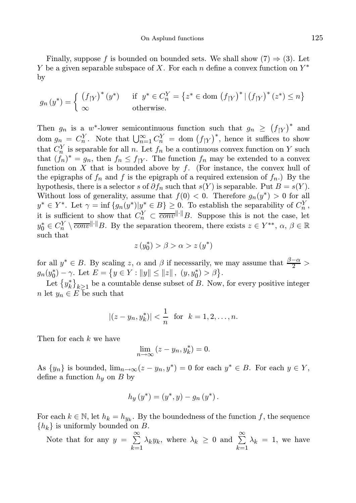Finally, suppose f is bounded on bounded sets. We shall show  $(7) \Rightarrow (3)$ . Let Y be a given separable subspace of X. For each n define a convex function on  $Y^*$ by

$$
g_n(y^*) = \begin{cases} (f_{|Y})^*(y^*) & \text{if } y^* \in C_n^Y = \{z^* \in \text{dom } (f_{|Y})^* | (f_{|Y})^*(z^*) \le n\} \\ \infty & \text{otherwise.} \end{cases}
$$

Then  $g_n$  is a w<sup>\*</sup>-lower semicontinuous function such that  $g_n \ge (f_{\vert Y})^*$  and dom  $g_n = C_n^Y$ . Note that  $\bigcup_{n=1}^{\infty} C_n^Y = \text{dom}(f_{|Y})^*$ , hence it suffices to show that  $C_n^Y$  is separable for all n. Let  $f_n$  be a continuous convex function on Y such that  $(f_n)^* = g_n$ , then  $f_n \leq f_{\vert Y}$ . The function  $f_n$  may be extended to a convex function on  $X$  that is bounded above by  $f$ . (For instance, the convex hull of the epigraphs of  $f_n$  and f is the epigraph of a required extension of  $f_n$ .) By the hypothesis, there is a selector s of  $\partial f_n$  such that  $s(Y)$  is separable. Put  $B = s(Y)$ . Without loss of generality, assume that  $f(0) < 0$ . Therefore  $g_n(y^*) > 0$  for all  $y^* \in Y^*$ . Let  $\gamma = \inf \{g_n(y^*) | y^* \in B \} \geq 0$ . To establish the separability of  $C_n^Y$ , it is sufficient to show that  $C_n^Y \subset \overline{conv}^{\|\cdot\|}B$ . Suppose this is not the case, let  $y_0^* \in C_n^Y \setminus \overline{conv}^{\|\cdot\|}B$ . By the separation theorem, there exists  $z \in Y^{**}$ ,  $\alpha, \beta \in \mathbb{R}$ such that

$$
z\left(y_{0}^{*}\right)>\beta>\alpha>z\left(y^{*}\right)
$$

for all  $y^* \in B$ . By scaling z,  $\alpha$  and  $\beta$  if necessarily, we may assume that  $\frac{\beta-\alpha}{2}$  $g_n(y_0^*) - \gamma$ . Let  $E = \{ y \in Y : ||y|| \le ||z||, (y, y_0^*) > \beta \}.$ 

Let  $\{y_k^*\}_{k\geq 1}$  be a countable dense subset of B. Now, for every positive integer n let  $y_n \in E$  be such that

$$
|(z-y_n, y_k^*)| < \frac{1}{n}
$$
 for  $k = 1, 2, ..., n$ .

Then for each k we have

$$
\lim_{n \to \infty} (z - y_n, y_k^*) = 0.
$$

As  $\{y_n\}$  is bounded,  $\lim_{n\to\infty}(z-y_n,y^*)=0$  for each  $y^*\in B$ . For each  $y\in Y$ , define a function  $h_y$  on B by

$$
h_y(y^*) = (y^*, y) - g_n(y^*).
$$

For each  $k \in \mathbb{N}$ , let  $h_k = h_{y_k}$ . By the boundedness of the function f, the sequence  ${h_k}$  is uniformly bounded on B.

Note that for any 
$$
y = \sum_{k=1}^{\infty} \lambda_k y_k
$$
, where  $\lambda_k \ge 0$  and  $\sum_{k=1}^{\infty} \lambda_k = 1$ , we have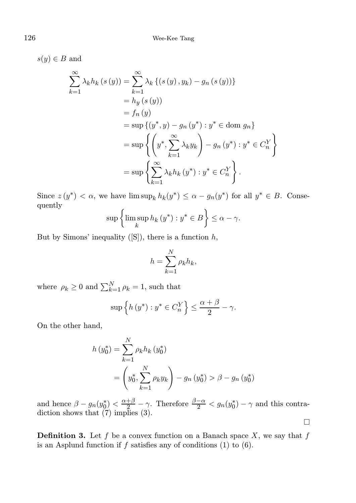$s(y) \in B$  and

$$
\sum_{k=1}^{\infty} \lambda_k h_k(s(y)) = \sum_{k=1}^{\infty} \lambda_k \left\{ (s(y), y_k) - g_n(s(y)) \right\} \n= h_y(s(y)) \n= f_n(y) \n= \sup \left\{ (y^*, y) - g_n(y^*) : y^* \in \text{dom } g_n \right\} \n= \sup \left\{ \left( y^*, \sum_{k=1}^{\infty} \lambda_k y_k \right) - g_n(y^*) : y^* \in C_n^Y \right\} \n= \sup \left\{ \sum_{k=1}^{\infty} \lambda_k h_k(y^*) : y^* \in C_n^Y \right\}.
$$

Since  $z(y^*) < \alpha$ , we have  $\limsup_k h_k(y^*) \leq \alpha - g_n(y^*)$  for all  $y^* \in B$ . Consequently

$$
\sup\left\{\limsup_{k} h_{k}(y^*) : y^* \in B\right\} \leq \alpha - \gamma.
$$

But by Simons' inequality  $([S])$ , there is a function h,

$$
h = \sum_{k=1}^{N} \rho_k h_k,
$$

where  $\rho_k \geq 0$  and  $\sum_{k=1}^{N} \rho_k = 1$ , such that

$$
\sup\left\{h\left(y^*\right):y^*\in C_n^Y\right\}\leq \frac{\alpha+\beta}{2}-\gamma.
$$

On the other hand,

$$
h(y_0^*) = \sum_{k=1}^{N} \rho_k h_k (y_0^*)
$$
  
=  $\left(y_0^*, \sum_{k=1}^{N} \rho_k y_k\right) - g_n (y_0^*) > \beta - g_n (y_0^*)$ 

and hence  $\beta - g_n(y_0^*) < \frac{\alpha + \beta}{2} - \gamma$ . Therefore  $\frac{\beta - \alpha}{2} < g_n(y_0^*) - \gamma$  and this contradiction shows that (7) implies (3).  $\Box$ 

**Definition 3.** Let f be a convex function on a Banach space  $X$ , we say that f is an Asplund function if  $f$  satisfies any of conditions  $(1)$  to  $(6)$ .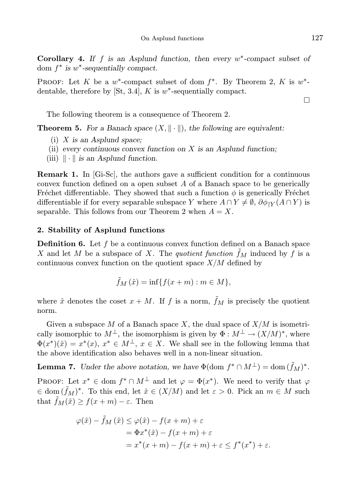Corollary 4. If  $f$  is an Asplund function, then every  $w^*$ -compact subset of dom  $f^*$  is  $w^*$ -sequentially compact.

PROOF: Let K be a  $w^*$ -compact subset of dom  $f^*$ . By Theorem 2, K is  $w^*$ dentable, therefore by [St, 3.4],  $K$  is  $w^*$ -sequentially compact.

The following theorem is a consequence of Theorem 2.

**Theorem 5.** For a Banach space  $(X, \|\cdot\|)$ , the following are equivalent:

- (i)  $X$  is an Asplund space;
- (ii) every continuous convex function on  $X$  is an Asplund function;
- (iii)  $\|\cdot\|$  is an Asplund function.

Remark 1. In [Gi-Sc], the authors gave a sufficient condition for a continuous convex function defined on a open subset  $A$  of a Banach space to be generically Fréchet differentiable. They showed that such a function  $\phi$  is generically Fréchet differentiable if for every separable subspace Y where  $A \cap Y \neq \emptyset$ ,  $\partial \phi_{iY}(A \cap Y)$  is separable. This follows from our Theorem 2 when  $A = X$ .

### 2. Stability of Asplund functions

**Definition 6.** Let f be a continuous convex function defined on a Banach space X and let M be a subspace of X. The quotient function  $\tilde{f}_M$  induced by f is a continuous convex function on the quotient space  $X/M$  defined by

$$
\tilde{f}_M(\hat{x}) = \inf\{f(x+m) : m \in M\},\
$$

where  $\hat{x}$  denotes the coset  $x + M$ . If f is a norm,  $\tilde{f}_M$  is precisely the quotient norm.

Given a subspace M of a Banach space X, the dual space of  $X/M$  is isometrically isomorphic to  $M^{\perp}$ , the isomorphism is given by  $\Phi : M^{\perp} \to (X/M)^*$ , where  $\Phi(x^*)(\hat{x}) = x^*(x), x^* \in M^{\perp}, x \in X$ . We shall see in the following lemma that the above identification also behaves well in a non-linear situation.

**Lemma 7.** Under the above notation, we have  $\Phi(\text{dom } f^* \cap M^{\perp}) = \text{dom } (\tilde{f}_M)^*$ .

PROOF: Let  $x^* \in \text{dom } f^* \cap M^\perp$  and let  $\varphi = \Phi(x^*)$ . We need to verify that  $\varphi$  $\in \text{dom}(\tilde{f}_M)^*$ . To this end, let  $\hat{x} \in (X/M)$  and let  $\varepsilon > 0$ . Pick an  $m \in M$  such that  $\tilde{f}_M(\hat{x}) \ge f(x+m) - \varepsilon$ . Then

$$
\varphi(\hat{x}) - \tilde{f}_M(\hat{x}) \le \varphi(\hat{x}) - f(x+m) + \varepsilon
$$
  
=  $\Phi x^*(\hat{x}) - f(x+m) + \varepsilon$   
=  $x^*(x+m) - f(x+m) + \varepsilon \le f^*(x^*) + \varepsilon$ .

 $\Box$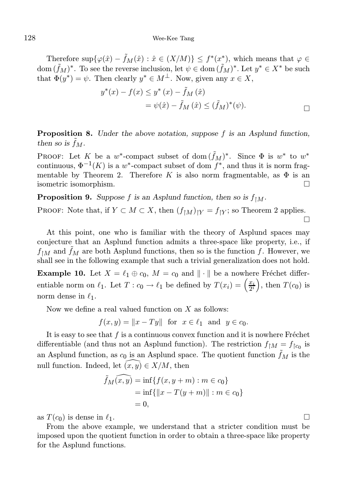Therefore  $\sup\{\varphi(\hat{x}) - \tilde{f}_M(\hat{x}) : \hat{x} \in (X/M)\} \leq f^*(x^*)$ , which means that  $\varphi \in$ dom  $({\tilde f}_M)^*$ . To see the reverse inclusion, let  $\psi \in \text{dom}(\tilde f_M)^*$ . Let  $y^* \in X^*$  be such that  $\Phi(y^*) = \psi$ . Then clearly  $y^* \in M^{\perp}$ . Now, given any  $x \in X$ ,

$$
y^*(x) - f(x) \le y^*(x) - \tilde{f}_M(\hat{x})
$$
  
=  $\psi(\hat{x}) - \tilde{f}_M(\hat{x}) \le (\tilde{f}_M)^*(\psi).$ 

Proposition 8. Under the above notation, suppose f is an Asplund function, then so is  $f_M$ .

PROOF: Let K be a w<sup>\*</sup>-compact subset of dom  $(\tilde{f}_M)^*$ . Since  $\Phi$  is  $w^*$  to  $w^*$ continuous,  $\Phi^{-1}(K)$  is a w<sup>\*</sup>-compact subset of dom  $f^*$ , and thus it is norm fragmentable by Theorem 2. Therefore K is also norm fragmentable, as  $\Phi$  is an isometric isomorphism.

**Proposition 9.** Suppose f is an Asplund function, then so is  $f_{\upharpoonright M}$ .

PROOF: Note that, if  $Y \subset M \subset X$ , then  $(f_{\upharpoonright M})_{\upharpoonright Y} = f_{\upharpoonright Y}$ ; so Theorem 2 applies.  $\Box$ 

At this point, one who is familiar with the theory of Asplund spaces may conjecture that an Asplund function admits a three-space like property, i.e., if  $f_{\uparrow M}$  and  $\tilde{f}_M$  are both Asplund functions, then so is the function f. However, we shall see in the following example that such a trivial generalization does not hold.

**Example 10.** Let  $X = \ell_1 \oplus \ell_0$ ,  $M = \ell_0$  and  $\|\cdot\|$  be a nowhere Fréchet differentiable norm on  $\ell_1$ . Let  $T: c_0 \to \ell_1$  be defined by  $T(x_i) = \left(\frac{x_i}{2^i}\right)$  $\left(\frac{x_i}{2^i}\right)$ , then  $T(c_0)$  is norm dense in  $\ell_1$ .

Now we define a real valued function on  $X$  as follows:

 $f(x, y) = ||x - Ty||$  for  $x \in \ell_1$  and  $y \in c_0$ .

It is easy to see that  $f$  is a continuous convex function and it is nowhere Fréchet differentiable (and thus not an Asplund function). The restriction  $f_{\upharpoonright M} = f_{\upharpoonright c_0}$  is an Asplund function, as  $c_0$  is an Asplund space. The quotient function  $\tilde{f}_M$  is the null function. Indeed, let  $(x, y) \in X/M$ , then

$$
\tilde{f}_M(\widehat{x}, \widehat{y}) = \inf \{ f(x, y + m) : m \in c_0 \} \n= \inf \{ ||x - T(y + m)|| : m \in c_0 \} \n= 0,
$$

as  $T(c_0)$  is dense in  $\ell_1$ .

From the above example, we understand that a stricter condition must be imposed upon the quotient function in order to obtain a three-space like property for the Asplund functions.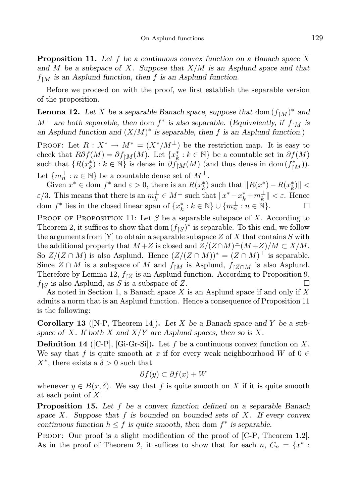**Proposition 11.** Let f be a continuous convex function on a Banach space X and M be a subspace of X. Suppose that  $X/M$  is an Asplund space and that  $f_{\uparrow M}$  is an Asplund function, then f is an Asplund function.

Before we proceed on with the proof, we first establish the separable version of the proposition.

**Lemma 12.** Let X be a separable Banach space, suppose that dom  $(f_{\upharpoonright M})^*$  and  $M^{\perp}$  are both separable, then dom  $f^*$  is also separable. (Equivalently, if  $f_{\upharpoonright M}$  is an Asplund function and  $(X/M)^*$  is separable, then f is an Asplund function.)

PROOF: Let  $R: X^* \to M^* = (X^*/M^{\perp})$  be the restriction map. It is easy to check that  $R\partial f(M) = \partial f_{\upharpoonright M}(M)$ . Let  $\{x_k^* : k \in \mathbb{N}\}$  be a countable set in  $\partial f(M)$ such that  $\{R(x_k^*): k \in \mathbb{N}\}\$ is dense in  $\partial f_{\restriction M}^*(M)$  (and thus dense in dom  $(f_{\restriction M}^*)$ ). Let  $\{m_n^{\perp} : n \in \mathbb{N}\}$  be a countable dense set of  $M^{\perp}$ .

Given  $x^* \in$  dom  $f^*$  and  $\varepsilon > 0$ , there is an  $R(x_k^*)$  such that  $||R(x^*) - R(x_k^*)|| <$  $\varepsilon/3$ . This means that there is an  $m_k^{\perp} \in M^{\perp}$  such that  $||x^* - x_k^* + m_k^{\perp}|| < \varepsilon$ . Hence dom  $f^*$  lies in the closed linear span of  $\{x_k^*: k \in \mathbb{N}\} \cup \{m_n^{\perp}: n \in \mathbb{N}\}.$ 

PROOF OF PROPOSITION 11: Let S be a separable subspace of X. According to Theorem 2, it suffices to show that dom  $(f<sub>|\mathcal{S}|</sub>)^*$  is separable. To this end, we follow the arguments from [Y] to obtain a separable subspace  $Z$  of  $X$  that contains  $S$  with the additional property that  $M + Z$  is closed and  $Z/(Z \cap M) \tilde{=} (M + Z)/M \subset X/M$ . So  $Z/(Z \cap M)$  is also Asplund. Hence  $(Z/(Z \cap M))^* = (Z \cap M)^{\perp}$  is separable. Since  $Z \cap M$  is a subspace of M and  $f_{\upharpoonright M}$  is Asplund,  $f_{\upharpoonright Z \cap M}$  is also Asplund. Therefore by Lemma 12,  $f_{\uparrow Z}$  is an Asplund function. According to Proposition 9,  $f_{\upharpoonright S}$  is also Asplund, as S is a subspace of Z.

As noted in Section 1, a Banach space  $X$  is an Asplund space if and only if  $X$ admits a norm that is an Asplund function. Hence a consequence of Proposition 11 is the following:

**Corollary 13** (N-P, Theorem 14). Let X be a Banach space and Y be a subspace of X. If both X and  $X/Y$  are Asplund spaces, then so is X.

**Definition 14** ([C-P], [Gi-Gr-Si]). Let f be a continuous convex function on X. We say that f is quite smooth at x if for every weak neighbourhood W of  $0 \in$  $X^*$ , there exists a  $\delta > 0$  such that

$$
\partial f(y) \subset \partial f(x) + W
$$

whenever  $y \in B(x, \delta)$ . We say that f is quite smooth on X if it is quite smooth at each point of X.

**Proposition 15.** Let  $f$  be a convex function defined on a separable Banach space X. Suppose that f is bounded on bounded sets of X. If every convex continuous function  $h \leq f$  is quite smooth, then dom  $f^*$  is separable.

PROOF: Our proof is a slight modification of the proof of [C-P, Theorem 1.2]. As in the proof of Theorem 2, it suffices to show that for each  $n, C_n = \{x^* :$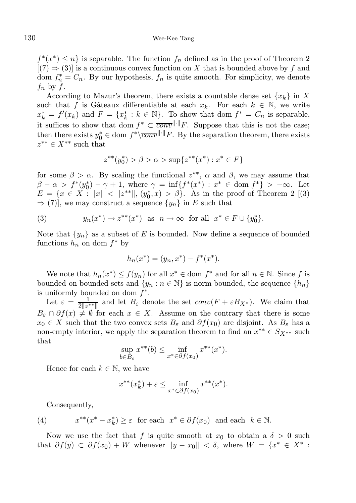$f^*(x^*) \leq n$  is separable. The function  $f_n$  defined as in the proof of Theorem 2  $[(7) \Rightarrow (3)]$  is a continuous convex function on X that is bounded above by f and dom  $f_n^* = C_n$ . By our hypothesis,  $f_n$  is quite smooth. For simplicity, we denote  $f_n$  by  $f$ .

According to Mazur's theorem, there exists a countable dense set  $\{x_k\}$  in X such that f is Gâteaux differentiable at each  $x_k$ . For each  $k \in \mathbb{N}$ , we write  $x_k^* = f'(x_k)$  and  $F = \{x_k^* : k \in \mathbb{N}\}\$ . To show that dom  $f^* = C_n$  is separable, it suffices to show that dom  $f^* \subset \overline{conv}^{\|\cdot\|}F$ . Suppose that this is not the case; then there exists  $y_0^* \in \text{dom } f^* \setminus \overline{conv}^{\|\cdot\|} F$ . By the separation theorem, there exists  $z^{**} \in X^{**}$  such that

$$
z^{**}(y_0^*) > \beta > \alpha > \sup\{z^{**}(x^*) : x^* \in F\}
$$

for some  $\beta > \alpha$ . By scaling the functional  $z^{**}$ ,  $\alpha$  and  $\beta$ , we may assume that  $\beta - \alpha > f^{*}(y_{0}^{*}) - \gamma + 1$ , where  $\gamma = \inf\{f^{*}(x^{*}) : x^{*} \in \text{dom } f^{*}\} > -\infty$ . Let  $E = \{x \in X : ||x|| < ||z^{**}||, (y_0^*, x) > \beta\}.$  As in the proof of Theorem 2 [(3)  $\Rightarrow$  (7)], we may construct a sequence  $\{y_n\}$  in E such that

(3) 
$$
y_n(x^*) \to z^{**}(x^*) \text{ as } n \to \infty \text{ for all } x^* \in F \cup \{y_0^*\}.
$$

Note that  $\{y_n\}$  as a subset of E is bounded. Now define a sequence of bounded functions  $h_n$  on dom  $f^*$  by

$$
h_n(x^*) = (y_n, x^*) - f^*(x^*).
$$

We note that  $h_n(x^*) \le f(y_n)$  for all  $x^* \in \text{dom } f^*$  and for all  $n \in \mathbb{N}$ . Since f is bounded on bounded sets and  $\{y_n : n \in \mathbb{N}\}\$ is norm bounded, the sequence  $\{h_n\}$ is uniformly bounded on dom  $f^*$ .

Let  $\varepsilon = \frac{1}{2\|z^{**}\|}$  and let  $B_{\varepsilon}$  denote the set  $conv(F + \varepsilon B_{X^*})$ . We claim that  $B_{\varepsilon} \cap \partial f(x) \neq \emptyset$  for each  $x \in X$ . Assume on the contrary that there is some  $x_0 \in X$  such that the two convex sets  $B_\varepsilon$  and  $\partial f(x_0)$  are disjoint. As  $B_\varepsilon$  has a non-empty interior, we apply the separation theorem to find an  $x^{**} \in S_{X^{**}}$  such that

$$
\sup_{b \in B_{\varepsilon}} x^{**}(b) \le \inf_{x^* \in \partial f(x_0)} x^{**}(x^*).
$$

Hence for each  $k \in \mathbb{N}$ , we have

$$
x^{**}(x_k^*) + \varepsilon \le \inf_{x^* \in \partial f(x_0)} x^{**}(x^*).
$$

Consequently,

(4) 
$$
x^{**}(x^* - x_k^*) \geq \varepsilon \text{ for each } x^* \in \partial f(x_0) \text{ and each } k \in \mathbb{N}.
$$

Now we use the fact that f is quite smooth at  $x_0$  to obtain a  $\delta > 0$  such that  $\partial f(y) \subset \partial f(x_0) + W$  whenever  $||y - x_0|| < \delta$ , where  $W = \{x^* \in X^* :$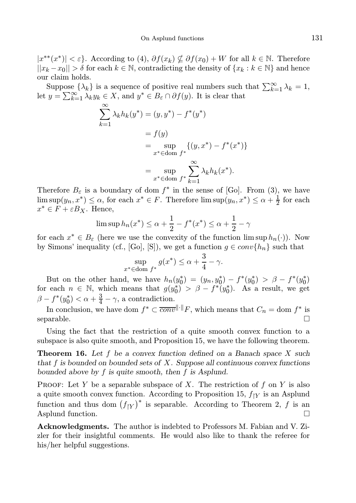$|x^{**}(x^*)| < \varepsilon$ . According to (4),  $\partial f(x_k) \nsubseteq \partial f(x_0) + W$  for all  $k \in \mathbb{N}$ . Therefore  $||x_k - x_0|| > \delta$  for each  $k \in \mathbb{N}$ , contradicting the density of  $\{x_k : k \in \mathbb{N}\}\$  and hence our claim holds.

Suppose  $\{\lambda_k\}$  is a sequence of positive real numbers such that  $\sum_{k=1}^{\infty} \lambda_k = 1$ , let  $y = \sum_{k=1}^{\infty} \lambda_k y_k \in X$ , and  $y^* \in B_{\varepsilon} \cap \partial f(y)$ . It is clear that

$$
\sum_{k=1}^{\infty} \lambda_k h_k(y^*) = (y, y^*) - f^*(y^*)
$$
  
=  $f(y)$   
=  $\sup_{x^* \in \text{dom } f^*} \{ (y, x^*) - f^*(x^*) \}$   
=  $\sup_{x^* \in \text{dom } f^*} \sum_{k=1}^{\infty} \lambda_k h_k(x^*).$ 

Therefore  $B_{\varepsilon}$  is a boundary of dom  $f^*$  in the sense of [Go]. From (3), we have  $\limsup(y_n, x^*) \leq \alpha$ , for each  $x^* \in F$ . Therefore  $\limsup(y_n, x^*) \leq \alpha + \frac{1}{2}$  for each  $x^* \in F + \varepsilon B_X$ . Hence,

$$
\limsup h_n(x^*) \le \alpha + \frac{1}{2} - f^*(x^*) \le \alpha + \frac{1}{2} - \gamma
$$

for each  $x^* \in B_\varepsilon$  (here we use the convexity of the function  $\limsup h_n(\cdot)$ ). Now by Simons' inequality (cf., [Go], [S]), we get a function  $g \in conv\{h_n\}$  such that

$$
\sup_{x^* \in \text{dom } f^*} g(x^*) \le \alpha + \frac{3}{4} - \gamma.
$$

But on the other hand, we have  $h_n(y_0^*) = (y_n, y_0^*) - f^*(y_0^*) > \beta - f^*(y_0^*)$ for each  $n \in \mathbb{N}$ , which means that  $g(y_0^*) > \beta - f^*(y_0^*)$ . As a result, we get  $\beta - f^*(y_0^*) < \alpha + \frac{3}{4} - \gamma$ , a contradiction.

In conclusion, we have dom  $f^* \subset \overline{conv}^{\|\cdot\|}F$ , which means that  $C_n = \text{dom } f^*$  is  $\Box$  separable.

Using the fact that the restriction of a quite smooth convex function to a subspace is also quite smooth, and Proposition 15, we have the following theorem.

**Theorem 16.** Let f be a convex function defined on a Banach space  $X$  such that f is bounded on bounded sets of  $X$ . Suppose all continuous convex functions bounded above by  $f$  is quite smooth, then  $f$  is Asplund.

PROOF: Let Y be a separable subspace of X. The restriction of  $f$  on Y is also a quite smooth convex function. According to Proposition 15,  $f_{\uparrow Y}$  is an Asplund function and thus dom  $(f_{|Y})^*$  is separable. According to Theorem 2, f is an Asplund function.

Acknowledgments. The author is indebted to Professors M. Fabian and V. Zizler for their insightful comments. He would also like to thank the referee for his/her helpful suggestions.